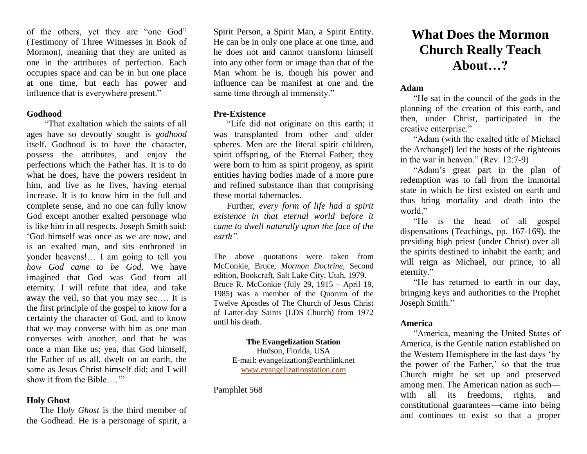of the others, yet they are "one God" (Testimony of Three Witnesses in Book of Mormon), meaning that they are united as one in the attributes of perfection. Each occupies space and can be in but one place at one time, but each has power and influence that is everywhere present."

#### **Godhood**

 "That exaltation which the saints of all ages have so devoutly sought is *godhood*  itself. Godhood is to have the character, possess the attributes, and enjoy the perfections which the Father has. It is to do what he does, have the powers resident in him, and live as he lives, having eternal increase. It is to know him in the full and complete sense, and no one can fully know God except another exalted personage who is like him in all respects. Joseph Smith said: 'God himself was once as we are now, and is an exalted man, and sits enthroned in yonder heavens!… I am going to tell you *how God came to be God*. We have imagined that God was God from all eternity. I will refute that idea, and take away the veil, so that you may see…. It is the first principle of the gospel to know for a certainty the character of God, and to know that we may converse with him as one man converses with another, and that he was once a man like us; yea, that God himself, the Father of us all, dwelt on an earth, the same as Jesus Christ himself did; and I will show it from the Bible ..."

#### **Holy Ghost**

The H*oly Ghost* is the third member of the Godhead. He is a personage of spirit, a

Spirit Person, a Spirit Man, a Spirit Entity. He can be in only one place at one time, and he does not and cannot transform himself into any other form or image than that of the Man whom he is, though his power and influence can be manifest at one and the same time through al immensity."

#### **Pre-Existence**

"Life did not originate on this earth; it was transplanted from other and older spheres. Men are the literal spirit children, spirit offspring, of the Eternal Father; they were born to him as spirit progeny, as spirit entities having bodies made of a more pure and refined substance than that comprising these mortal tabernacles.

Further, *every form of life had a spirit existence in that eternal world before it came to dwell naturally upon the face of the earth".*

The above quotations were taken from McConkie, Bruce, *Mormon Doctrine,* Second edition, Bookcraft, Salt Lake City, Utah, 1979. Bruce R. McConkie (July 29, 1915 – April 19, 1985) was a member of the Quorum of the Twelve Apostles of The Church of Jesus Christ of Latter-day Saints (LDS Church) from 1972 until his death.

> **The Evangelization Station** Hudson, Florida, USA E-mail: evangelization@earthlink.net [www.evangelizationstation.com](http://www.pjpiisoe.org/)

Pamphlet 568

# **What Does the Mormon Church Really Teach About…?**

#### **Adam**

"He sat in the council of the gods in the planning of the creation of this earth, and then, under Christ, participated in the creative enterprise."

"Adam (with the exalted title of Michael the Archangel) led the hosts of the righteous in the war in heaven." (Rev. 12:7-9)

"Adam's great part in the plan of redemption was to fall from the immortal state in which he first existed on earth and thus bring mortality and death into the world."

"He is the head of all gospel dispensations (Teachings, pp. 167-169), the presiding high priest (under Christ) over all the spirits destined to inhabit the earth; and will reign as Michael, our prince, to all eternity."

"He has returned to earth in our day, bringing keys and authorities to the Prophet Joseph Smith."

#### **America**

"America, meaning the United States of America, is the Gentile nation established on the Western Hemisphere in the last days 'by the power of the Father,' so that the true Church might be set up and preserved among men. The American nation as such with all its freedoms, rights, and constitutional guarantees—came into being and continues to exist so that a proper